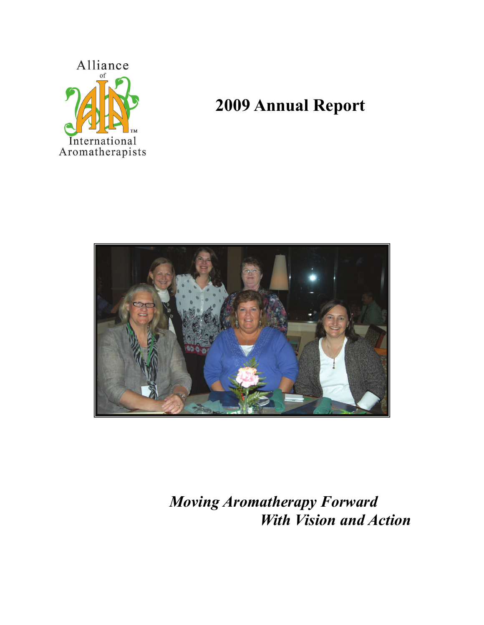

# **2009 Annual Report**



*Moving Aromatherapy Forward With Vision and Action*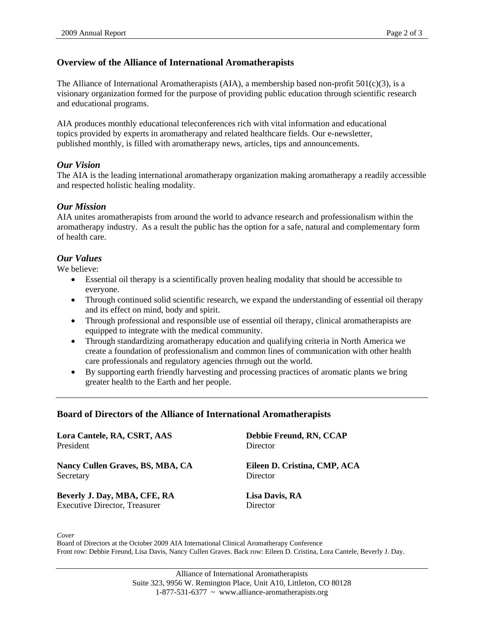## **Overview of the Alliance of International Aromatherapists**

The Alliance of International Aromatherapists (AIA), a membership based non-profit  $501(c)(3)$ , is a visionary organization formed for the purpose of providing public education through scientific research and educational programs.

AIA produces monthly educational teleconferences rich with vital information and educational topics provided by experts in aromatherapy and related healthcare fields. Our e-newsletter, published monthly, is filled with aromatherapy news, articles, tips and announcements.

#### *Our Vision*

The AIA is the leading international aromatherapy organization making aromatherapy a readily accessible and respected holistic healing modality.

#### *Our Mission*

AIA unites aromatherapists from around the world to advance research and professionalism within the aromatherapy industry. As a result the public has the option for a safe, natural and complementary form of health care.

#### *Our Values*

We believe:

- Essential oil therapy is a scientifically proven healing modality that should be accessible to everyone.
- Through continued solid scientific research, we expand the understanding of essential oil therapy and its effect on mind, body and spirit.
- Through professional and responsible use of essential oil therapy, clinical aromatherapists are equipped to integrate with the medical community.
- Through standardizing aromatherapy education and qualifying criteria in North America we create a foundation of professionalism and common lines of communication with other health care professionals and regulatory agencies through out the world.
- By supporting earth friendly harvesting and processing practices of aromatic plants we bring greater health to the Earth and her people.

#### **Board of Directors of the Alliance of International Aromatherapists**

| Lora Cantele, RA, CSRT, AAS          | Debbie Freund, RN, CCAP      |  |  |
|--------------------------------------|------------------------------|--|--|
| President                            | Director                     |  |  |
| Nancy Cullen Graves, BS, MBA, CA     | Eileen D. Cristina, CMP, ACA |  |  |
| Secretary                            | Director                     |  |  |
| Beverly J. Day, MBA, CFE, RA         | Lisa Davis, RA               |  |  |
| <b>Executive Director, Treasurer</b> | Director                     |  |  |

*Cover* 

Board of Directors at the October 2009 AIA International Clinical Aromatherapy Conference Front row: Debbie Freund, Lisa Davis, Nancy Cullen Graves. Back row: Eileen D. Cristina, Lora Cantele, Beverly J. Day.